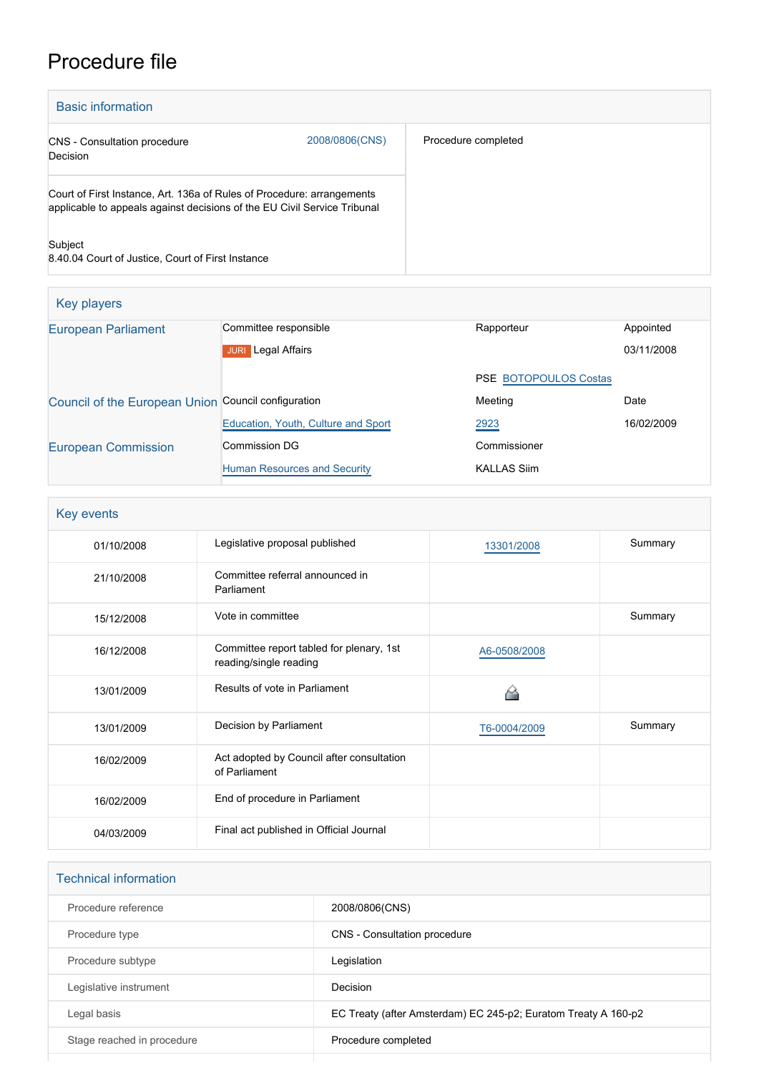# Procedure file

| <b>Basic information</b>                                                                                                                           |                |                     |
|----------------------------------------------------------------------------------------------------------------------------------------------------|----------------|---------------------|
| <b>CNS</b> - Consultation procedure<br>Decision                                                                                                    | 2008/0806(CNS) | Procedure completed |
| Court of First Instance, Art. 136a of Rules of Procedure: arrangements<br>applicable to appeals against decisions of the EU Civil Service Tribunal |                |                     |
| Subject<br>8.40.04 Court of Justice, Court of First Instance                                                                                       |                |                     |

| Key players                                         |                                     |                              |            |  |  |
|-----------------------------------------------------|-------------------------------------|------------------------------|------------|--|--|
| <b>European Parliament</b>                          | Committee responsible               | Rapporteur                   | Appointed  |  |  |
|                                                     | Legal Affairs<br><b>JURI</b>        |                              | 03/11/2008 |  |  |
|                                                     |                                     | <b>PSE BOTOPOULOS Costas</b> |            |  |  |
| Council of the European Union Council configuration |                                     | Meeting                      | Date       |  |  |
|                                                     | Education, Youth, Culture and Sport | 2923                         | 16/02/2009 |  |  |
| <b>European Commission</b>                          | Commission DG                       | Commissioner                 |            |  |  |
|                                                     | Human Resources and Security        | <b>KALLAS Siim</b>           |            |  |  |

| Key events |                                                                    |              |         |  |
|------------|--------------------------------------------------------------------|--------------|---------|--|
| 01/10/2008 | Legislative proposal published                                     | 13301/2008   | Summary |  |
| 21/10/2008 | Committee referral announced in<br>Parliament                      |              |         |  |
| 15/12/2008 | Vote in committee                                                  |              | Summary |  |
| 16/12/2008 | Committee report tabled for plenary, 1st<br>reading/single reading | A6-0508/2008 |         |  |
| 13/01/2009 | Results of vote in Parliament                                      |              |         |  |
| 13/01/2009 | Decision by Parliament                                             | T6-0004/2009 | Summary |  |
| 16/02/2009 | Act adopted by Council after consultation<br>of Parliament         |              |         |  |
| 16/02/2009 | End of procedure in Parliament                                     |              |         |  |
| 04/03/2009 | Final act published in Official Journal                            |              |         |  |

| <b>Technical information</b> |                                                                |
|------------------------------|----------------------------------------------------------------|
| Procedure reference          | 2008/0806(CNS)                                                 |
| Procedure type               | CNS - Consultation procedure                                   |
| Procedure subtype            | Legislation                                                    |
| Legislative instrument       | Decision                                                       |
| Legal basis                  | EC Treaty (after Amsterdam) EC 245-p2; Euratom Treaty A 160-p2 |
| Stage reached in procedure   | Procedure completed                                            |
|                              |                                                                |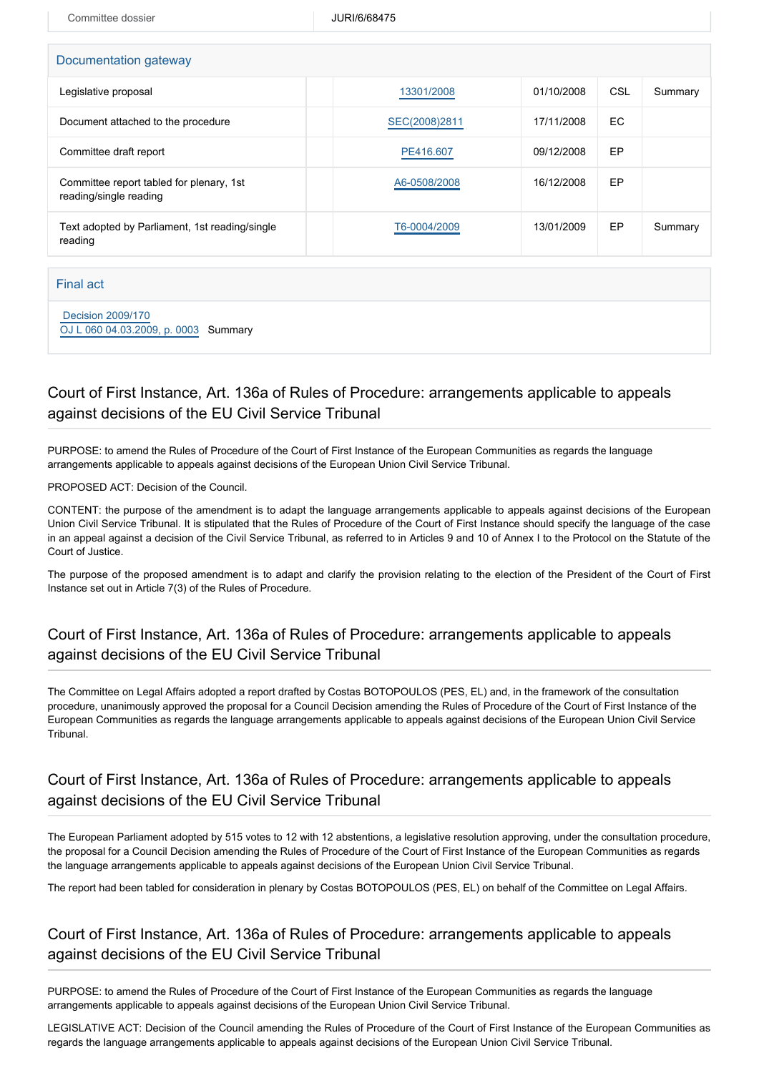Committee dossier and a state of the UURI/6/68475

| Documentation gateway                                              |               |            |     |         |  |  |
|--------------------------------------------------------------------|---------------|------------|-----|---------|--|--|
| Legislative proposal                                               | 13301/2008    | 01/10/2008 | CSL | Summary |  |  |
| Document attached to the procedure                                 | SEC(2008)2811 | 17/11/2008 | EC. |         |  |  |
| Committee draft report                                             | PE416.607     | 09/12/2008 | EP  |         |  |  |
| Committee report tabled for plenary, 1st<br>reading/single reading | A6-0508/2008  | 16/12/2008 | EP  |         |  |  |
| Text adopted by Parliament, 1st reading/single<br>reading          | T6-0004/2009  | 13/01/2009 | EP  | Summary |  |  |

#### Final act

 [Decision 2009/170](https://eur-lex.europa.eu/smartapi/cgi/sga_doc?smartapi!celexplus!prod!CELEXnumdoc&lg=EN&numdoc=32009D0170) [OJ L 060 04.03.2009, p. 0003](https://eur-lex.europa.eu/legal-content/FR/TXT/?uri=OJ:L:2009:060:TOC) Summary

## Court of First Instance, Art. 136a of Rules of Procedure: arrangements applicable to appeals against decisions of the EU Civil Service Tribunal

PURPOSE: to amend the Rules of Procedure of the Court of First Instance of the European Communities as regards the language arrangements applicable to appeals against decisions of the European Union Civil Service Tribunal.

PROPOSED ACT: Decision of the Council.

CONTENT: the purpose of the amendment is to adapt the language arrangements applicable to appeals against decisions of the European Union Civil Service Tribunal. It is stipulated that the Rules of Procedure of the Court of First Instance should specify the language of the case in an appeal against a decision of the Civil Service Tribunal, as referred to in Articles 9 and 10 of Annex I to the Protocol on the Statute of the Court of Justice.

The purpose of the proposed amendment is to adapt and clarify the provision relating to the election of the President of the Court of First Instance set out in Article 7(3) of the Rules of Procedure.

## Court of First Instance, Art. 136a of Rules of Procedure: arrangements applicable to appeals against decisions of the EU Civil Service Tribunal

The Committee on Legal Affairs adopted a report drafted by Costas BOTOPOULOS (PES, EL) and, in the framework of the consultation procedure, unanimously approved the proposal for a Council Decision amending the Rules of Procedure of the Court of First Instance of the European Communities as regards the language arrangements applicable to appeals against decisions of the European Union Civil Service Tribunal.

#### Court of First Instance, Art. 136a of Rules of Procedure: arrangements applicable to appeals against decisions of the EU Civil Service Tribunal

The European Parliament adopted by 515 votes to 12 with 12 abstentions, a legislative resolution approving, under the consultation procedure, the proposal for a Council Decision amending the Rules of Procedure of the Court of First Instance of the European Communities as regards the language arrangements applicable to appeals against decisions of the European Union Civil Service Tribunal.

The report had been tabled for consideration in plenary by Costas BOTOPOULOS (PES, EL) on behalf of the Committee on Legal Affairs.

## Court of First Instance, Art. 136a of Rules of Procedure: arrangements applicable to appeals against decisions of the EU Civil Service Tribunal

PURPOSE: to amend the Rules of Procedure of the Court of First Instance of the European Communities as regards the language arrangements applicable to appeals against decisions of the European Union Civil Service Tribunal.

LEGISLATIVE ACT: Decision of the Council amending the Rules of Procedure of the Court of First Instance of the European Communities as regards the language arrangements applicable to appeals against decisions of the European Union Civil Service Tribunal.